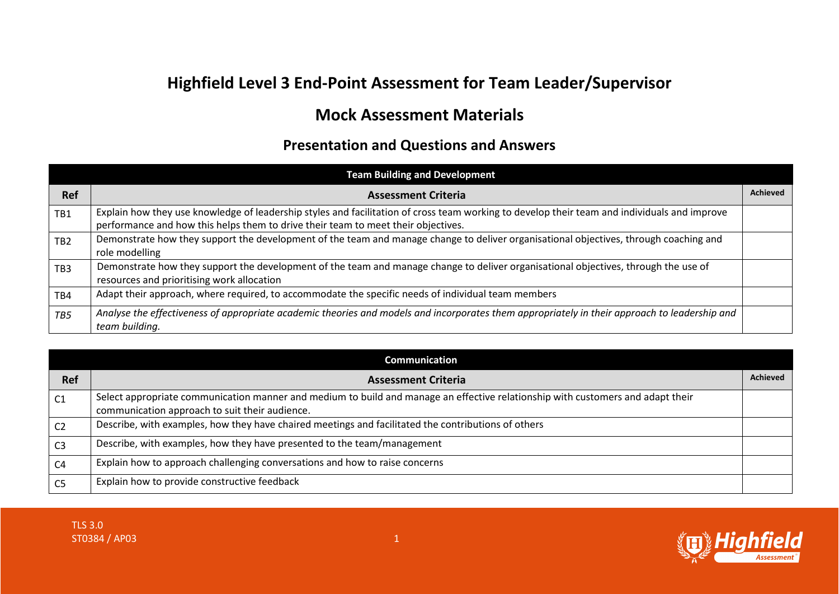## **Highfield Level 3 End-Point Assessment for Team Leader/Supervisor**

## **Mock Assessment Materials**

## **Presentation and Questions and Answers**

|                 | <b>Team Building and Development</b>                                                                                                                                                                                              |                 |
|-----------------|-----------------------------------------------------------------------------------------------------------------------------------------------------------------------------------------------------------------------------------|-----------------|
| <b>Ref</b>      | <b>Assessment Criteria</b>                                                                                                                                                                                                        | <b>Achieved</b> |
| TB1             | Explain how they use knowledge of leadership styles and facilitation of cross team working to develop their team and individuals and improve<br>performance and how this helps them to drive their team to meet their objectives. |                 |
| TB <sub>2</sub> | Demonstrate how they support the development of the team and manage change to deliver organisational objectives, through coaching and<br>role modelling                                                                           |                 |
| TB <sub>3</sub> | Demonstrate how they support the development of the team and manage change to deliver organisational objectives, through the use of<br>resources and prioritising work allocation                                                 |                 |
| TB4             | Adapt their approach, where required, to accommodate the specific needs of individual team members                                                                                                                                |                 |
| TB5             | Analyse the effectiveness of appropriate academic theories and models and incorporates them appropriately in their approach to leadership and<br>team building.                                                                   |                 |

|                | <b>Communication</b>                                                                                                                                                              |                 |
|----------------|-----------------------------------------------------------------------------------------------------------------------------------------------------------------------------------|-----------------|
| <b>Ref</b>     | <b>Assessment Criteria</b>                                                                                                                                                        | <b>Achieved</b> |
| C <sub>1</sub> | Select appropriate communication manner and medium to build and manage an effective relationship with customers and adapt their<br>communication approach to suit their audience. |                 |
| C <sub>2</sub> | Describe, with examples, how they have chaired meetings and facilitated the contributions of others                                                                               |                 |
| C <sub>3</sub> | Describe, with examples, how they have presented to the team/management                                                                                                           |                 |
| C <sub>4</sub> | Explain how to approach challenging conversations and how to raise concerns                                                                                                       |                 |
| C5             | Explain how to provide constructive feedback                                                                                                                                      |                 |

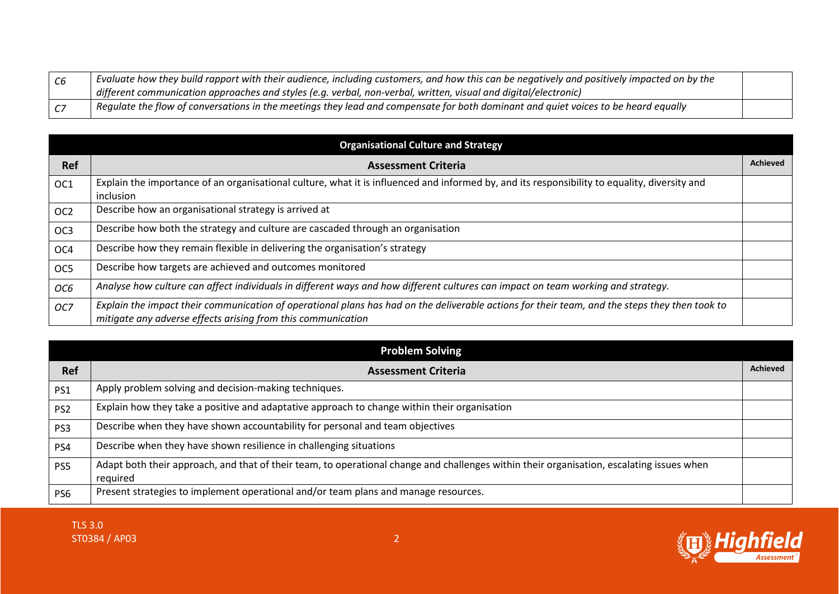| Evaluate how they build rapport with their audience, including customers, and how this can be negatively and positively impacted on by the |  |
|--------------------------------------------------------------------------------------------------------------------------------------------|--|
| $\mid$ different communication approaches and styles (e.g. verbal, non-verbal, written, visual and digital/electronic)                     |  |
| . Requlate the flow of conversations in the meetings they lead and compensate for both dominant and quiet voices to be heard equally       |  |

| <b>Organisational Culture and Strategy</b> |                                                                                                                                                                                                                |                 |
|--------------------------------------------|----------------------------------------------------------------------------------------------------------------------------------------------------------------------------------------------------------------|-----------------|
| <b>Ref</b>                                 | <b>Assessment Criteria</b>                                                                                                                                                                                     | <b>Achieved</b> |
| OC1                                        | Explain the importance of an organisational culture, what it is influenced and informed by, and its responsibility to equality, diversity and                                                                  |                 |
|                                            | inclusion                                                                                                                                                                                                      |                 |
| OC <sub>2</sub>                            | Describe how an organisational strategy is arrived at                                                                                                                                                          |                 |
| OC <sub>3</sub>                            | Describe how both the strategy and culture are cascaded through an organisation                                                                                                                                |                 |
| OC <sub>4</sub>                            | Describe how they remain flexible in delivering the organisation's strategy                                                                                                                                    |                 |
| OC <sub>5</sub>                            | Describe how targets are achieved and outcomes monitored                                                                                                                                                       |                 |
| OC6                                        | Analyse how culture can affect individuals in different ways and how different cultures can impact on team working and strategy.                                                                               |                 |
| OC7                                        | Explain the impact their communication of operational plans has had on the deliverable actions for their team, and the steps they then took to<br>mitigate any adverse effects arising from this communication |                 |

|                 | <b>Problem Solving</b>                                                                                                                                |                 |
|-----------------|-------------------------------------------------------------------------------------------------------------------------------------------------------|-----------------|
| <b>Ref</b>      | <b>Assessment Criteria</b>                                                                                                                            | <b>Achieved</b> |
| PS1             | Apply problem solving and decision-making techniques.                                                                                                 |                 |
| PS <sub>2</sub> | Explain how they take a positive and adaptative approach to change within their organisation                                                          |                 |
| PS3             | Describe when they have shown accountability for personal and team objectives                                                                         |                 |
| PS4             | Describe when they have shown resilience in challenging situations                                                                                    |                 |
| PS5             | Adapt both their approach, and that of their team, to operational change and challenges within their organisation, escalating issues when<br>required |                 |
| PS <sub>6</sub> | Present strategies to implement operational and/or team plans and manage resources.                                                                   |                 |